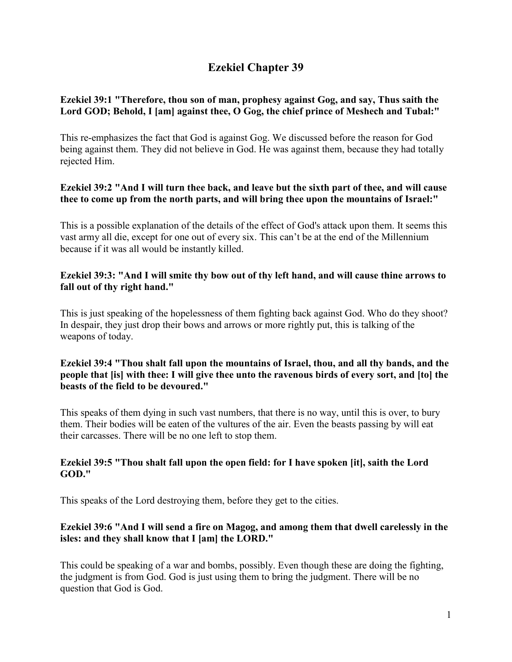# **Ezekiel Chapter 39**

# **Ezekiel 39:1 "Therefore, thou son of man, prophesy against Gog, and say, Thus saith the Lord GOD; Behold, I [am] against thee, O Gog, the chief prince of Meshech and Tubal:"**

This re-emphasizes the fact that God is against Gog. We discussed before the reason for God being against them. They did not believe in God. He was against them, because they had totally rejected Him.

# **Ezekiel 39:2 "And I will turn thee back, and leave but the sixth part of thee, and will cause thee to come up from the north parts, and will bring thee upon the mountains of Israel:"**

This is a possible explanation of the details of the effect of God's attack upon them. It seems this vast army all die, except for one out of every six. This can't be at the end of the Millennium because if it was all would be instantly killed.

# **Ezekiel 39:3: "And I will smite thy bow out of thy left hand, and will cause thine arrows to fall out of thy right hand."**

This is just speaking of the hopelessness of them fighting back against God. Who do they shoot? In despair, they just drop their bows and arrows or more rightly put, this is talking of the weapons of today.

## **Ezekiel 39:4 "Thou shalt fall upon the mountains of Israel, thou, and all thy bands, and the people that [is] with thee: I will give thee unto the ravenous birds of every sort, and [to] the beasts of the field to be devoured."**

This speaks of them dying in such vast numbers, that there is no way, until this is over, to bury them. Their bodies will be eaten of the vultures of the air. Even the beasts passing by will eat their carcasses. There will be no one left to stop them.

# **Ezekiel 39:5 "Thou shalt fall upon the open field: for I have spoken [it], saith the Lord GOD."**

This speaks of the Lord destroying them, before they get to the cities.

# **Ezekiel 39:6 "And I will send a fire on Magog, and among them that dwell carelessly in the isles: and they shall know that I [am] the LORD."**

This could be speaking of a war and bombs, possibly. Even though these are doing the fighting, the judgment is from God. God is just using them to bring the judgment. There will be no question that God is God.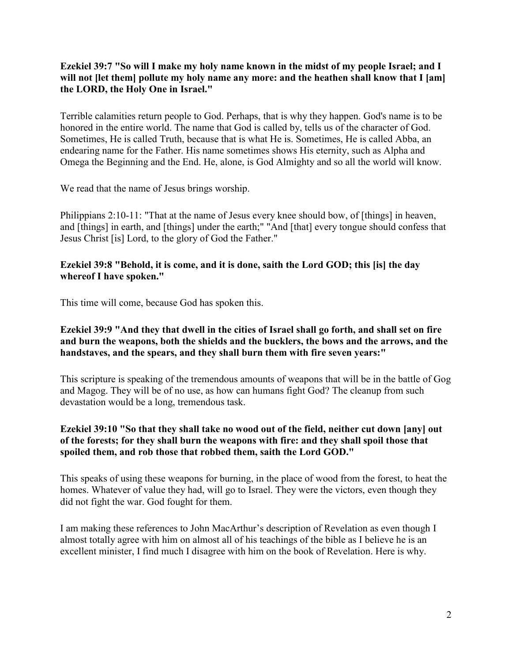**Ezekiel 39:7 "So will I make my holy name known in the midst of my people Israel; and I**  will not [let them] pollute my holy name any more: and the heathen shall know that I [am] **the LORD, the Holy One in Israel."**

Terrible calamities return people to God. Perhaps, that is why they happen. God's name is to be honored in the entire world. The name that God is called by, tells us of the character of God. Sometimes, He is called Truth, because that is what He is. Sometimes, He is called Abba, an endearing name for the Father. His name sometimes shows His eternity, such as Alpha and Omega the Beginning and the End. He, alone, is God Almighty and so all the world will know.

We read that the name of Jesus brings worship.

Philippians 2:10-11: "That at the name of Jesus every knee should bow, of [things] in heaven, and [things] in earth, and [things] under the earth;" "And [that] every tongue should confess that Jesus Christ [is] Lord, to the glory of God the Father."

#### **Ezekiel 39:8 "Behold, it is come, and it is done, saith the Lord GOD; this [is] the day whereof I have spoken."**

This time will come, because God has spoken this.

#### **Ezekiel 39:9 "And they that dwell in the cities of Israel shall go forth, and shall set on fire and burn the weapons, both the shields and the bucklers, the bows and the arrows, and the handstaves, and the spears, and they shall burn them with fire seven years:"**

This scripture is speaking of the tremendous amounts of weapons that will be in the battle of Gog and Magog. They will be of no use, as how can humans fight God? The cleanup from such devastation would be a long, tremendous task.

#### **Ezekiel 39:10 "So that they shall take no wood out of the field, neither cut down [any] out of the forests; for they shall burn the weapons with fire: and they shall spoil those that spoiled them, and rob those that robbed them, saith the Lord GOD."**

This speaks of using these weapons for burning, in the place of wood from the forest, to heat the homes. Whatever of value they had, will go to Israel. They were the victors, even though they did not fight the war. God fought for them.

I am making these references to John MacArthur's description of Revelation as even though I almost totally agree with him on almost all of his teachings of the bible as I believe he is an excellent minister, I find much I disagree with him on the book of Revelation. Here is why.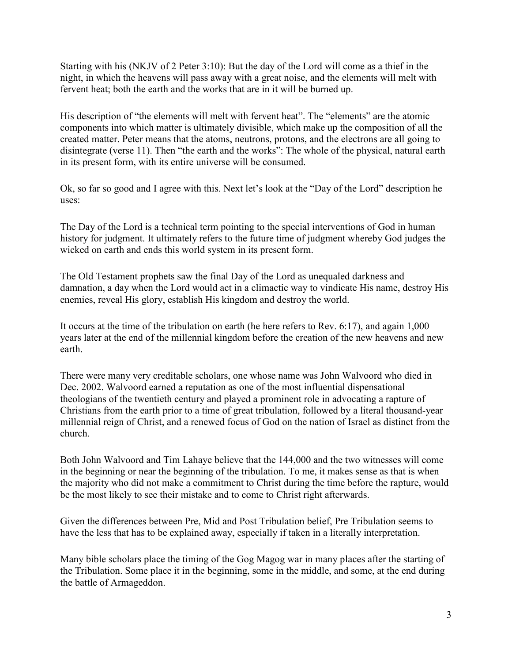Starting with his (NKJV of 2 Peter 3:10): But the day of the Lord will come as a thief in the night, in which the heavens will pass away with a great noise, and the elements will melt with fervent heat; both the earth and the works that are in it will be burned up.

His description of "the elements will melt with fervent heat". The "elements" are the atomic components into which matter is ultimately divisible, which make up the composition of all the created matter. Peter means that the atoms, neutrons, protons, and the electrons are all going to disintegrate (verse 11). Then "the earth and the works": The whole of the physical, natural earth in its present form, with its entire universe will be consumed.

Ok, so far so good and I agree with this. Next let's look at the "Day of the Lord" description he uses:

The Day of the Lord is a technical term pointing to the special interventions of God in human history for judgment. It ultimately refers to the future time of judgment whereby God judges the wicked on earth and ends this world system in its present form.

The Old Testament prophets saw the final Day of the Lord as unequaled darkness and damnation, a day when the Lord would act in a climactic way to vindicate His name, destroy His enemies, reveal His glory, establish His kingdom and destroy the world.

It occurs at the time of the tribulation on earth (he here refers to Rev. 6:17), and again 1,000 years later at the end of the millennial kingdom before the creation of the new heavens and new earth.

There were many very creditable scholars, one whose name was John Walvoord who died in Dec. 2002. Walvoord earned a reputation as one of the most influential dispensational theologians of the twentieth century and played a prominent role in advocating a rapture of Christians from the earth prior to a time of great tribulation, followed by a literal thousand-year millennial reign of Christ, and a renewed focus of God on the nation of Israel as distinct from the church.

Both John Walvoord and Tim Lahaye believe that the 144,000 and the two witnesses will come in the beginning or near the beginning of the tribulation. To me, it makes sense as that is when the majority who did not make a commitment to Christ during the time before the rapture, would be the most likely to see their mistake and to come to Christ right afterwards.

Given the differences between Pre, Mid and Post Tribulation belief, Pre Tribulation seems to have the less that has to be explained away, especially if taken in a literally interpretation.

Many bible scholars place the timing of the Gog Magog war in many places after the starting of the Tribulation. Some place it in the beginning, some in the middle, and some, at the end during the battle of Armageddon.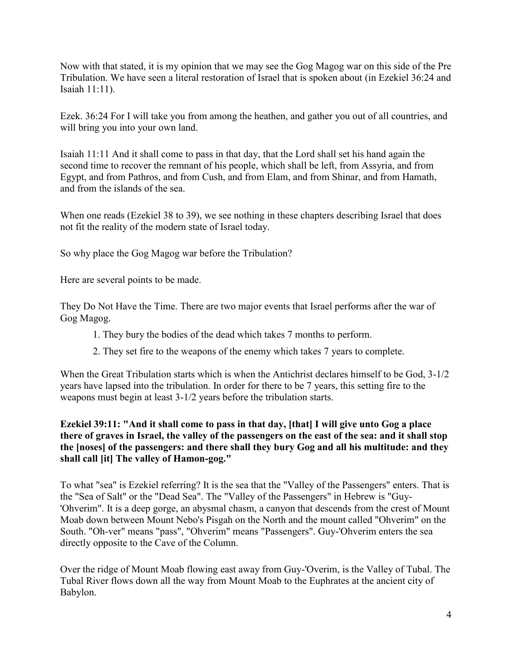Now with that stated, it is my opinion that we may see the Gog Magog war on this side of the Pre Tribulation. We have seen a literal restoration of Israel that is spoken about (in Ezekiel 36:24 and Isaiah 11:11).

Ezek. 36:24 For I will take you from among the heathen, and gather you out of all countries, and will bring you into your own land.

Isaiah 11:11 And it shall come to pass in that day, that the Lord shall set his hand again the second time to recover the remnant of his people, which shall be left, from Assyria, and from Egypt, and from Pathros, and from Cush, and from Elam, and from Shinar, and from Hamath, and from the islands of the sea.

When one reads (Ezekiel 38 to 39), we see nothing in these chapters describing Israel that does not fit the reality of the modern state of Israel today.

So why place the Gog Magog war before the Tribulation?

Here are several points to be made.

They Do Not Have the Time. There are two major events that Israel performs after the war of Gog Magog.

- 1. They bury the bodies of the dead which takes 7 months to perform.
- 2. They set fire to the weapons of the enemy which takes 7 years to complete.

When the Great Tribulation starts which is when the Antichrist declares himself to be God, 3-1/2 years have lapsed into the tribulation. In order for there to be 7 years, this setting fire to the weapons must begin at least 3-1/2 years before the tribulation starts.

## **Ezekiel 39:11: "And it shall come to pass in that day, [that] I will give unto Gog a place there of graves in Israel, the valley of the passengers on the east of the sea: and it shall stop the [noses] of the passengers: and there shall they bury Gog and all his multitude: and they shall call [it] The valley of Hamon-gog."**

To what "sea" is Ezekiel referring? It is the sea that the "Valley of the Passengers" enters. That is the "Sea of Salt" or the "Dead Sea". The "Valley of the Passengers" in Hebrew is "Guy- 'Ohverim". It is a deep gorge, an abysmal chasm, a canyon that descends from the crest of Mount Moab down between Mount Nebo's Pisgah on the North and the mount called "Ohverim" on the South. "Oh-ver" means "pass", "Ohverim" means "Passengers". Guy-'Ohverim enters the sea directly opposite to the Cave of the Column.

Over the ridge of Mount Moab flowing east away from Guy-'Overim, is the Valley of Tubal. The Tubal River flows down all the way from Mount Moab to the Euphrates at the ancient city of Babylon.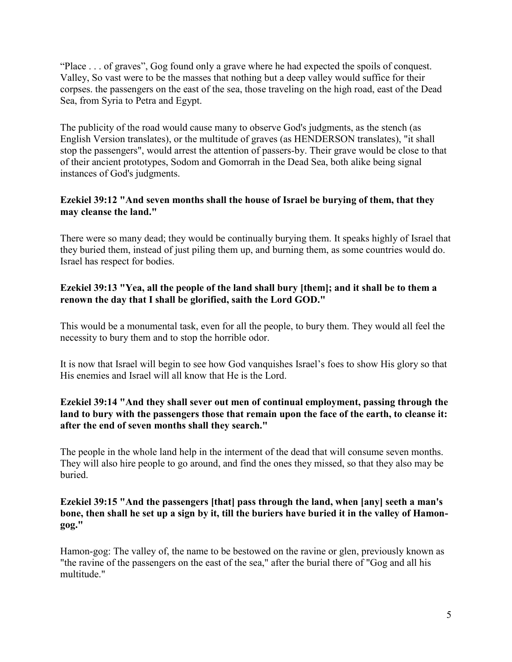"Place . . . of graves", Gog found only a grave where he had expected the spoils of conquest. Valley, So vast were to be the masses that nothing but a deep valley would suffice for their corpses. the passengers on the east of the sea, those traveling on the high road, east of the Dead Sea, from Syria to Petra and Egypt.

The publicity of the road would cause many to observe God's judgments, as the stench (as English Version translates), or the multitude of graves (as HENDERSON translates), "it shall stop the passengers", would arrest the attention of passers-by. Their grave would be close to that of their ancient prototypes, Sodom and Gomorrah in the Dead Sea, both alike being signal instances of God's judgments.

#### **Ezekiel 39:12 "And seven months shall the house of Israel be burying of them, that they may cleanse the land."**

There were so many dead; they would be continually burying them. It speaks highly of Israel that they buried them, instead of just piling them up, and burning them, as some countries would do. Israel has respect for bodies.

#### **Ezekiel 39:13 "Yea, all the people of the land shall bury [them]; and it shall be to them a renown the day that I shall be glorified, saith the Lord GOD."**

This would be a monumental task, even for all the people, to bury them. They would all feel the necessity to bury them and to stop the horrible odor.

It is now that Israel will begin to see how God vanquishes Israel's foes to show His glory so that His enemies and Israel will all know that He is the Lord.

# **Ezekiel 39:14 "And they shall sever out men of continual employment, passing through the land to bury with the passengers those that remain upon the face of the earth, to cleanse it: after the end of seven months shall they search."**

The people in the whole land help in the interment of the dead that will consume seven months. They will also hire people to go around, and find the ones they missed, so that they also may be buried.

## **Ezekiel 39:15 "And the passengers [that] pass through the land, when [any] seeth a man's bone, then shall he set up a sign by it, till the buriers have buried it in the valley of Hamongog."**

Hamon-gog: The valley of, the name to be bestowed on the ravine or glen, previously known as "the ravine of the passengers on the east of the sea," after the burial there of "Gog and all his multitude."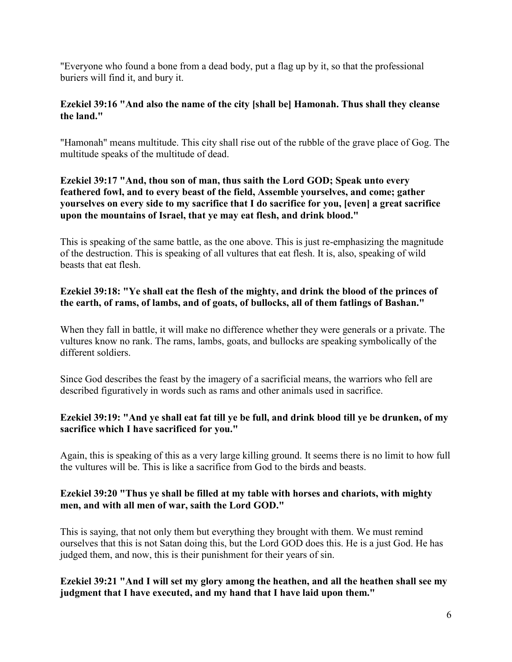"Everyone who found a bone from a dead body, put a flag up by it, so that the professional buriers will find it, and bury it.

#### **Ezekiel 39:16 "And also the name of the city [shall be] Hamonah. Thus shall they cleanse the land."**

"Hamonah" means multitude. This city shall rise out of the rubble of the grave place of Gog. The multitude speaks of the multitude of dead.

# **Ezekiel 39:17 "And, thou son of man, thus saith the Lord GOD; Speak unto every feathered fowl, and to every beast of the field, Assemble yourselves, and come; gather yourselves on every side to my sacrifice that I do sacrifice for you, [even] a great sacrifice upon the mountains of Israel, that ye may eat flesh, and drink blood."**

This is speaking of the same battle, as the one above. This is just re-emphasizing the magnitude of the destruction. This is speaking of all vultures that eat flesh. It is, also, speaking of wild beasts that eat flesh.

# **Ezekiel 39:18: "Ye shall eat the flesh of the mighty, and drink the blood of the princes of the earth, of rams, of lambs, and of goats, of bullocks, all of them fatlings of Bashan."**

When they fall in battle, it will make no difference whether they were generals or a private. The vultures know no rank. The rams, lambs, goats, and bullocks are speaking symbolically of the different soldiers.

Since God describes the feast by the imagery of a sacrificial means, the warriors who fell are described figuratively in words such as rams and other animals used in sacrifice.

## **Ezekiel 39:19: "And ye shall eat fat till ye be full, and drink blood till ye be drunken, of my sacrifice which I have sacrificed for you."**

Again, this is speaking of this as a very large killing ground. It seems there is no limit to how full the vultures will be. This is like a sacrifice from God to the birds and beasts.

## **Ezekiel 39:20 "Thus ye shall be filled at my table with horses and chariots, with mighty men, and with all men of war, saith the Lord GOD."**

This is saying, that not only them but everything they brought with them. We must remind ourselves that this is not Satan doing this, but the Lord GOD does this. He is a just God. He has judged them, and now, this is their punishment for their years of sin.

## **Ezekiel 39:21 "And I will set my glory among the heathen, and all the heathen shall see my judgment that I have executed, and my hand that I have laid upon them."**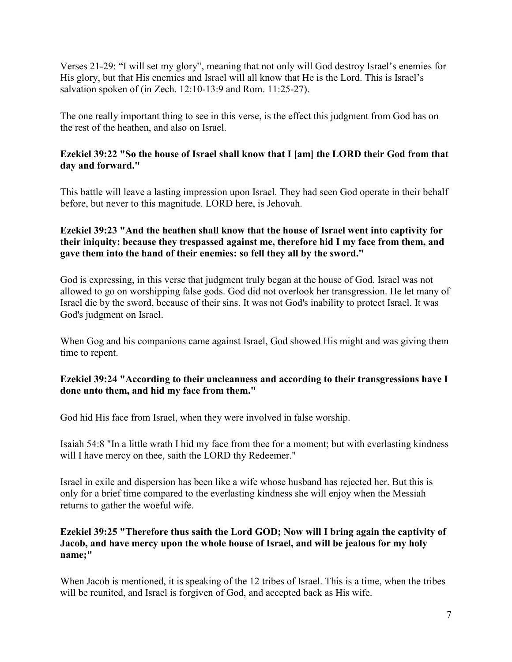Verses 21-29: "I will set my glory", meaning that not only will God destroy Israel's enemies for His glory, but that His enemies and Israel will all know that He is the Lord. This is Israel's salvation spoken of (in Zech. 12:10-13:9 and Rom. 11:25-27).

The one really important thing to see in this verse, is the effect this judgment from God has on the rest of the heathen, and also on Israel.

# **Ezekiel 39:22 "So the house of Israel shall know that I [am] the LORD their God from that day and forward."**

This battle will leave a lasting impression upon Israel. They had seen God operate in their behalf before, but never to this magnitude. LORD here, is Jehovah.

## **Ezekiel 39:23 "And the heathen shall know that the house of Israel went into captivity for their iniquity: because they trespassed against me, therefore hid I my face from them, and gave them into the hand of their enemies: so fell they all by the sword."**

God is expressing, in this verse that judgment truly began at the house of God. Israel was not allowed to go on worshipping false gods. God did not overlook her transgression. He let many of Israel die by the sword, because of their sins. It was not God's inability to protect Israel. It was God's judgment on Israel.

When Gog and his companions came against Israel, God showed His might and was giving them time to repent.

# **Ezekiel 39:24 "According to their uncleanness and according to their transgressions have I done unto them, and hid my face from them."**

God hid His face from Israel, when they were involved in false worship.

Isaiah 54:8 "In a little wrath I hid my face from thee for a moment; but with everlasting kindness will I have mercy on thee, saith the LORD thy Redeemer."

Israel in exile and dispersion has been like a wife whose husband has rejected her. But this is only for a brief time compared to the everlasting kindness she will enjoy when the Messiah returns to gather the woeful wife.

## **Ezekiel 39:25 "Therefore thus saith the Lord GOD; Now will I bring again the captivity of Jacob, and have mercy upon the whole house of Israel, and will be jealous for my holy name;"**

When Jacob is mentioned, it is speaking of the 12 tribes of Israel. This is a time, when the tribes will be reunited, and Israel is forgiven of God, and accepted back as His wife.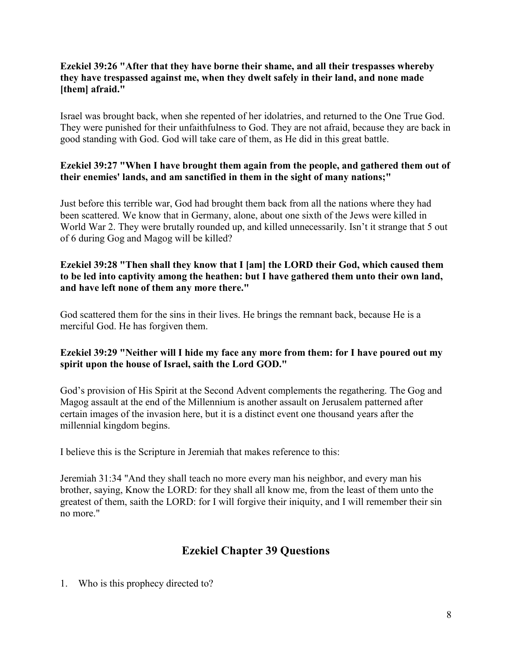## **Ezekiel 39:26 "After that they have borne their shame, and all their trespasses whereby they have trespassed against me, when they dwelt safely in their land, and none made [them] afraid."**

Israel was brought back, when she repented of her idolatries, and returned to the One True God. They were punished for their unfaithfulness to God. They are not afraid, because they are back in good standing with God. God will take care of them, as He did in this great battle.

# **Ezekiel 39:27 "When I have brought them again from the people, and gathered them out of their enemies' lands, and am sanctified in them in the sight of many nations;"**

Just before this terrible war, God had brought them back from all the nations where they had been scattered. We know that in Germany, alone, about one sixth of the Jews were killed in World War 2. They were brutally rounded up, and killed unnecessarily. Isn't it strange that 5 out of 6 during Gog and Magog will be killed?

# **Ezekiel 39:28 "Then shall they know that I [am] the LORD their God, which caused them to be led into captivity among the heathen: but I have gathered them unto their own land, and have left none of them any more there."**

God scattered them for the sins in their lives. He brings the remnant back, because He is a merciful God. He has forgiven them.

## **Ezekiel 39:29 "Neither will I hide my face any more from them: for I have poured out my spirit upon the house of Israel, saith the Lord GOD."**

God's provision of His Spirit at the Second Advent complements the regathering. The Gog and Magog assault at the end of the Millennium is another assault on Jerusalem patterned after certain images of the invasion here, but it is a distinct event one thousand years after the millennial kingdom begins.

I believe this is the Scripture in Jeremiah that makes reference to this:

Jeremiah 31:34 "And they shall teach no more every man his neighbor, and every man his brother, saying, Know the LORD: for they shall all know me, from the least of them unto the greatest of them, saith the LORD: for I will forgive their iniquity, and I will remember their sin no more."

# **Ezekiel Chapter 39 Questions**

1. Who is this prophecy directed to?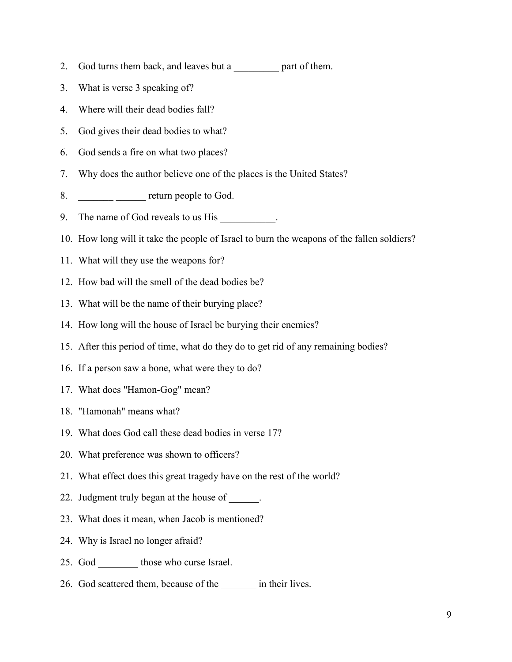- 2. God turns them back, and leaves but a \_\_\_\_\_\_\_\_\_ part of them.
- 3. What is verse 3 speaking of?
- 4. Where will their dead bodies fall?
- 5. God gives their dead bodies to what?
- 6. God sends a fire on what two places?
- 7. Why does the author believe one of the places is the United States?
- 8. \_\_\_\_\_\_\_\_\_ \_\_\_\_\_ return people to God.
- 9. The name of God reveals to us His \_\_\_\_\_\_\_\_\_.
- 10. How long will it take the people of Israel to burn the weapons of the fallen soldiers?
- 11. What will they use the weapons for?
- 12. How bad will the smell of the dead bodies be?
- 13. What will be the name of their burying place?
- 14. How long will the house of Israel be burying their enemies?
- 15. After this period of time, what do they do to get rid of any remaining bodies?
- 16. If a person saw a bone, what were they to do?
- 17. What does "Hamon-Gog" mean?
- 18. "Hamonah" means what?
- 19. What does God call these dead bodies in verse 17?
- 20. What preference was shown to officers?
- 21. What effect does this great tragedy have on the rest of the world?
- 22. Judgment truly began at the house of \_\_\_\_\_\_.
- 23. What does it mean, when Jacob is mentioned?
- 24. Why is Israel no longer afraid?
- 25. God those who curse Israel.
- 26. God scattered them, because of the \_\_\_\_\_\_\_ in their lives.